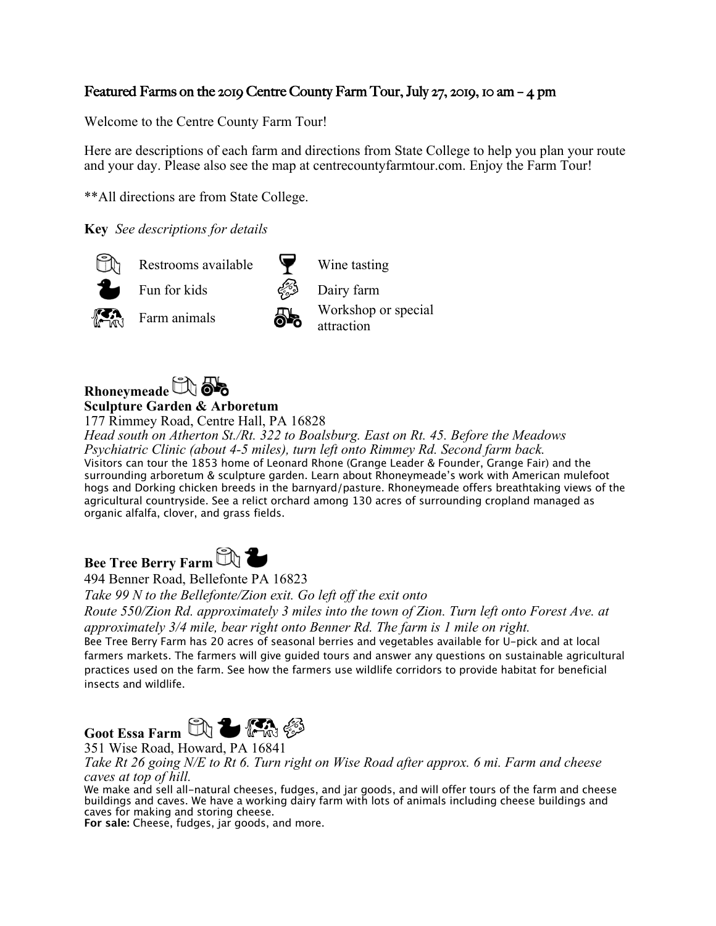### Featured Farms on the 2019 Centre County Farm Tour, July 27, 2019, 10 am – 4 pm

Welcome to the Centre County Farm Tour!

Here are descriptions of each farm and directions from State College to help you plan your route and your day. Please also see the map at centrecountyfarmtour.com. Enjoy the Farm Tour!

\*\*All directions are from State College.

**Key** *See descriptions for details*



Fun for kids Dairy farm





Restrooms available  $\forall$  Wine tasting

Farm animals **IV** Workshop or special



177 Rimmey Road, Centre Hall, PA 16828

*Head south on Atherton St./Rt. 322 to Boalsburg. East on Rt. 45. Before the Meadows Psychiatric Clinic (about 4-5 miles), turn left onto Rimmey Rd. Second farm back.* Visitors can tour the 1853 home of Leonard Rhone (Grange Leader & Founder, Grange Fair) and the surrounding arboretum & sculpture garden. Learn about Rhoneymeade's work with American mulefoot hogs and Dorking chicken breeds in the barnyard/pasture. Rhoneymeade offers breathtaking views of the agricultural countryside. See a relict orchard among 130 acres of surrounding cropland managed as organic alfalfa, clover, and grass fields.



494 Benner Road, Bellefonte PA 16823

*Take 99 N to the Bellefonte/Zion exit. Go left off the exit onto* 

*Route 550/Zion Rd. approximately 3 miles into the town of Zion. Turn left onto Forest Ave. at approximately 3/4 mile, bear right onto Benner Rd. The farm is 1 mile on right.*

Bee Tree Berry Farm has 20 acres of seasonal berries and vegetables available for U-pick and at local farmers markets. The farmers will give guided tours and answer any questions on sustainable agricultural practices used on the farm. See how the farmers use wildlife corridors to provide habitat for beneficial insects and wildlife.



351 Wise Road, Howard, PA 16841

*Take Rt 26 going N/E to Rt 6. Turn right on Wise Road after approx. 6 mi. Farm and cheese caves at top of hill.*

We make and sell all-natural cheeses, fudges, and jar goods, and will offer tours of the farm and cheese buildings and caves. We have a working dairy farm with lots of animals including cheese buildings and caves for making and storing cheese.

**For sale:** Cheese, fudges, jar goods, and more.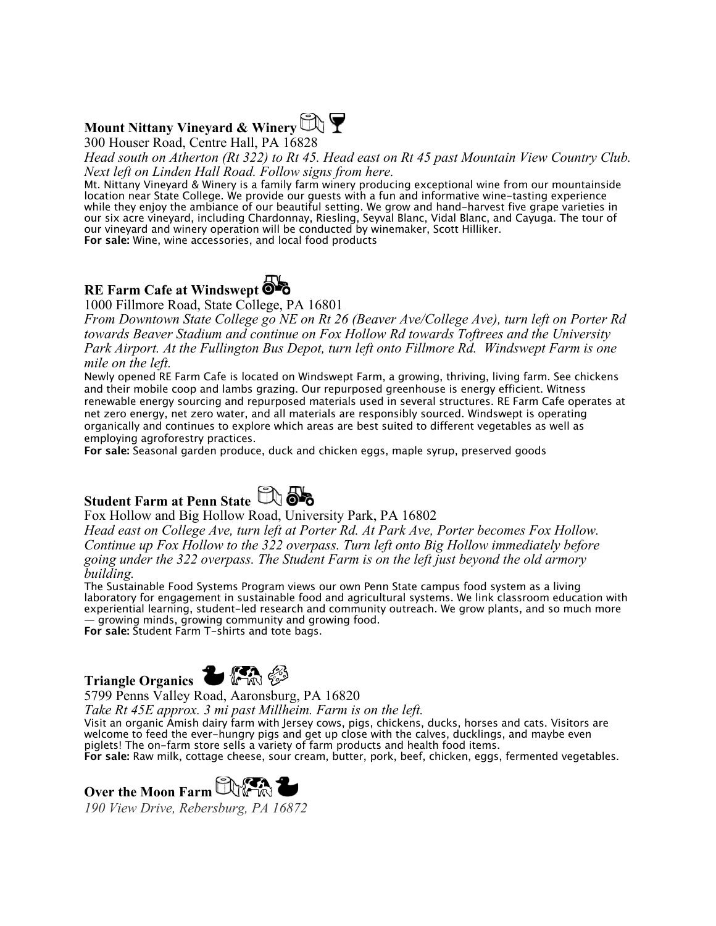## **Mount Nittany Vineyard & Winery**  $\mathbb{Q}$



300 Houser Road, Centre Hall, PA 16828

*Head south on Atherton (Rt 322) to Rt 45. Head east on Rt 45 past Mountain View Country Club. Next left on Linden Hall Road. Follow signs from here.*

Mt. Nittany Vineyard & Winery is a family farm winery producing exceptional wine from our mountainside location near State College. We provide our guests with a fun and informative wine-tasting experience while they enjoy the ambiance of our beautiful setting. We grow and hand-harvest five grape varieties in our six acre vineyard, including Chardonnay, Riesling, Seyval Blanc, Vidal Blanc, and Cayuga. The tour of our vineyard and winery operation will be conducted by winemaker, Scott Hilliker.

**For sale:** Wine, wine accessories, and local food products

## **RE Farm Cafe at Windswept**

1000 Fillmore Road, State College, PA 16801

*From Downtown State College go NE on Rt 26 (Beaver Ave/College Ave), turn left on Porter Rd towards Beaver Stadium and continue on Fox Hollow Rd towards Toftrees and the University Park Airport. At the Fullington Bus Depot, turn left onto Fillmore Rd. Windswept Farm is one mile on the left.*

Newly opened RE Farm Cafe is located on Windswept Farm, a growing, thriving, living farm. See chickens and their mobile coop and lambs grazing. Our repurposed greenhouse is energy efficient. Witness renewable energy sourcing and repurposed materials used in several structures. RE Farm Cafe operates at net zero energy, net zero water, and all materials are responsibly sourced. Windswept is operating organically and continues to explore which areas are best suited to different vegetables as well as employing agroforestry practices.

**For sale:** Seasonal garden produce, duck and chicken eggs, maple syrup, preserved goods

# **Student Farm at Penn State & OB**



#### Fox Hollow and Big Hollow Road, University Park, PA 16802

*Head east on College Ave, turn left at Porter Rd. At Park Ave, Porter becomes Fox Hollow. Continue up Fox Hollow to the 322 overpass. Turn left onto Big Hollow immediately before going under the 322 overpass. The Student Farm is on the left just beyond the old armory building.*

The Sustainable Food Systems Program views our own Penn State campus food system as a living laboratory for engagement in sustainable food and agricultural systems. We link classroom education with experiential learning, student-led research and community outreach. We grow plants, and so much more — growing minds, growing community and growing food. **For sale:** Student Farm T-shirts and tote bags.



5799 Penns Valley Road, Aaronsburg, PA 16820

*Take Rt 45E approx. 3 mi past Millheim. Farm is on the left.*

Visit an organic Amish dairy farm with Jersey cows, pigs, chickens, ducks, horses and cats. Visitors are welcome to feed the ever-hungry pigs and get up close with the calves, ducklings, and maybe even piglets! The on-farm store sells a variety of farm products and health food items. **For sale:** Raw milk, cottage cheese, sour cream, butter, pork, beef, chicken, eggs, fermented vegetables.

**Over the Moon Farm CONTR** *190 View Drive, Rebersburg, PA 16872*